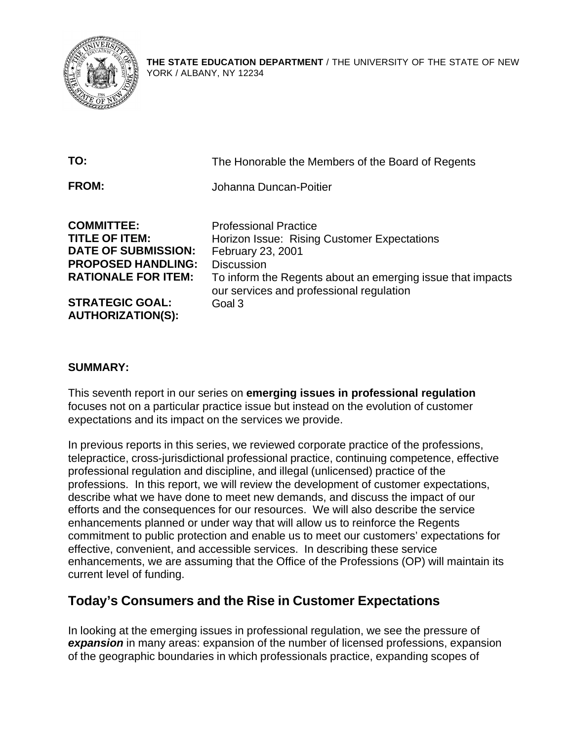

**THE STATE EDUCATION DEPARTMENT** / THE UNIVERSITY OF THE STATE OF NEW YORK / ALBANY, NY 12234

| TO:                                                                                                                                 | The Honorable the Members of the Board of Regents                                                                                                                                                                               |
|-------------------------------------------------------------------------------------------------------------------------------------|---------------------------------------------------------------------------------------------------------------------------------------------------------------------------------------------------------------------------------|
| <b>FROM:</b>                                                                                                                        | Johanna Duncan-Poitier                                                                                                                                                                                                          |
| <b>COMMITTEE:</b><br><b>TITLE OF ITEM:</b><br><b>DATE OF SUBMISSION:</b><br><b>PROPOSED HANDLING:</b><br><b>RATIONALE FOR ITEM:</b> | <b>Professional Practice</b><br>Horizon Issue: Rising Customer Expectations<br>February 23, 2001<br><b>Discussion</b><br>To inform the Regents about an emerging issue that impacts<br>our services and professional regulation |
| <b>STRATEGIC GOAL:</b><br><b>AUTHORIZATION(S):</b>                                                                                  | Goal 3                                                                                                                                                                                                                          |

#### **SUMMARY:**

This seventh report in our series on **emerging issues in professional regulation**  focuses not on a particular practice issue but instead on the evolution of customer expectations and its impact on the services we provide.

In previous reports in this series, we reviewed corporate practice of the professions, telepractice, cross-jurisdictional professional practice, continuing competence, effective professional regulation and discipline, and illegal (unlicensed) practice of the professions. In this report, we will review the development of customer expectations, describe what we have done to meet new demands, and discuss the impact of our efforts and the consequences for our resources. We will also describe the service enhancements planned or under way that will allow us to reinforce the Regents commitment to public protection and enable us to meet our customers' expectations for effective, convenient, and accessible services. In describing these service enhancements, we are assuming that the Office of the Professions (OP) will maintain its current level of funding.

### **Today's Consumers and the Rise in Customer Expectations**

In looking at the emerging issues in professional regulation, we see the pressure of *expansion* in many areas: expansion of the number of licensed professions, expansion of the geographic boundaries in which professionals practice, expanding scopes of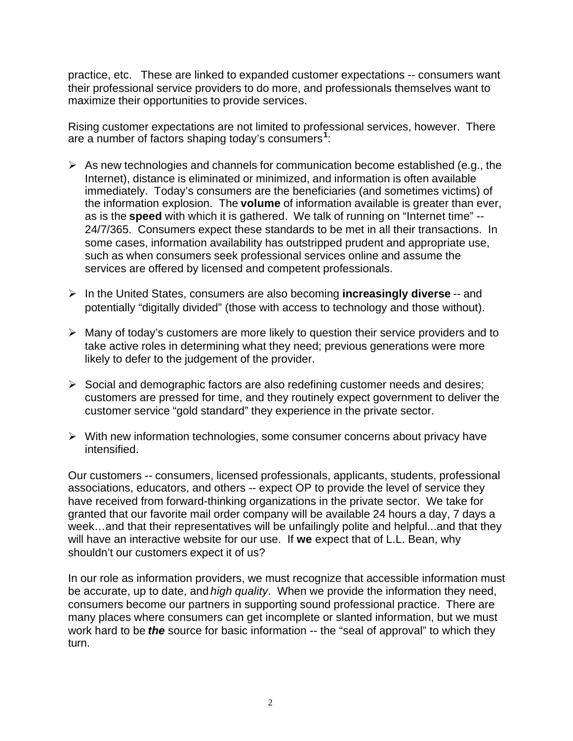practice, etc. These are linked to expanded customer expectations -- consumers want their professional service providers to do more, and professionals themselves want to maximize their opportunities to provide services.

Rising customer expectations are not limited to professional services, however. There are a number of factors shaping today's consumers**<sup>1</sup>** :

- $\triangleright$  As new technologies and channels for communication become established (e.g., the Internet), distance is eliminated or minimized, and information is often available immediately. Today's consumers are the beneficiaries (and sometimes victims) of the information explosion. The **volume** of information available is greater than ever, as is the **speed** with which it is gathered. We talk of running on "Internet time" - 24/7/365. Consumers expect these standards to be met in all their transactions. In some cases, information availability has outstripped prudent and appropriate use, such as when consumers seek professional services online and assume the services are offered by licensed and competent professionals.
- � In the United States, consumers are also becoming **increasingly diverse** -- and potentially "digitally divided" (those with access to technology and those without).
- $\triangleright$  Many of today's customers are more likely to question their service providers and to take active roles in determining what they need; previous generations were more likely to defer to the judgement of the provider.
- $\triangleright$  Social and demographic factors are also redefining customer needs and desires; customers are pressed for time, and they routinely expect government to deliver the customer service "gold standard" they experience in the private sector.
- $\triangleright$  With new information technologies, some consumer concerns about privacy have intensified.

Our customers -- consumers, licensed professionals, applicants, students, professional associations, educators, and others -- expect OP to provide the level of service they have received from forward-thinking organizations in the private sector. We take for granted that our favorite mail order company will be available 24 hours a day, 7 days a week…and that their representatives will be unfailingly polite and helpful...and that they will have an interactive website for our use. If **we** expect that of L.L. Bean, why shouldn't our customers expect it of us?

In our role as information providers, we must recognize that accessible information must be accurate, up to date, and *high quality*. When we provide the information they need, consumers become our partners in supporting sound professional practice. There are many places where consumers can get incomplete or slanted information, but we must work hard to be *the* source for basic information -- the "seal of approval" to which they turn.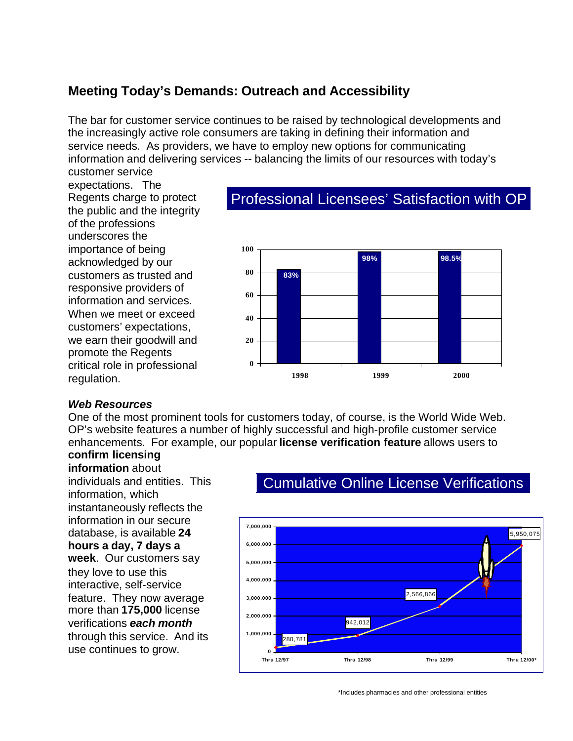# **Meeting Today's Demands: Outreach and Accessibility**

The bar for customer service continues to be raised by technological developments and the increasingly active role consumers are taking in defining their information and service needs. As providers, we have to employ new options for communicating information and delivering services -- balancing the limits of our resources with today's customer service

expectations. The Regents charge to protect the public and the integrity of the professions underscores the importance of being **<sup>100</sup>** acknowledged by our **<sup>80</sup>** customers as trusted and responsive providers of **<sup>60</sup>** information and services. When we meet or exceed  $\frac{40}{40}$ customers' expectations, we earn their goodwill and **20** promote the Regents critical role in professional **<sup>0</sup>**

### Professional Licensees' Satisfaction with OP



#### *Web Resources*

One of the most prominent tools for customers today, of course, is the World Wide Web. OP's website features a number of highly successful and high-profile customer service enhancements. For example, our popular **license verification feature** allows users to

# **confirm licensing**

**information** about individuals and entities. This information, which instantaneously reflects the information in our secure database, is available **24 hours a day, 7 days a week**. Our customers say they love to use this interactive, self-service feature. They now average more than **175,000** license verifications *each month*  through this service. And its use continues to grow.

# Cumulative Online License Verifications



\*Includes pharmacies and other professional entities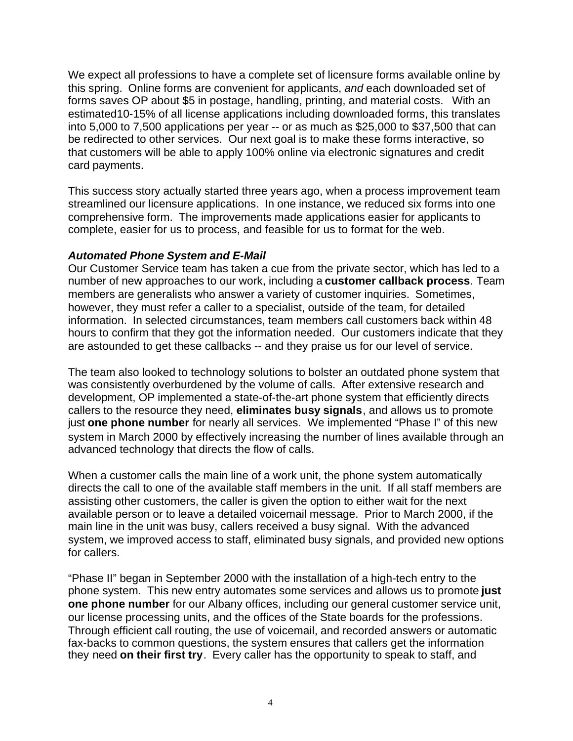We expect all professions to have a complete set of licensure forms available online by this spring. Online forms are convenient for applicants, *and* each downloaded set of forms saves OP about \$5 in postage, handling, printing, and material costs. With an estimated10-15% of all license applications including downloaded forms, this translates into 5,000 to 7,500 applications per year -- or as much as \$25,000 to \$37,500 that can be redirected to other services. Our next goal is to make these forms interactive, so that customers will be able to apply 100% online via electronic signatures and credit card payments.

This success story actually started three years ago, when a process improvement team streamlined our licensure applications. In one instance, we reduced six forms into one comprehensive form. The improvements made applications easier for applicants to complete, easier for us to process, and feasible for us to format for the web.

#### *Automated Phone System and E-Mail*

Our Customer Service team has taken a cue from the private sector, which has led to a number of new approaches to our work, including a **customer callback process**. Team members are generalists who answer a variety of customer inquiries. Sometimes, however, they must refer a caller to a specialist, outside of the team, for detailed information. In selected circumstances, team members call customers back within 48 hours to confirm that they got the information needed. Our customers indicate that they are astounded to get these callbacks -- and they praise us for our level of service.

The team also looked to technology solutions to bolster an outdated phone system that was consistently overburdened by the volume of calls. After extensive research and development, OP implemented a state-of-the-art phone system that efficiently directs callers to the resource they need, **eliminates busy signals**, and allows us to promote just **one phone number** for nearly all services. We implemented "Phase I" of this new system in March 2000 by effectively increasing the number of lines available through an advanced technology that directs the flow of calls.

When a customer calls the main line of a work unit, the phone system automatically directs the call to one of the available staff members in the unit. If all staff members are assisting other customers, the caller is given the option to either wait for the next available person or to leave a detailed voicemail message. Prior to March 2000, if the main line in the unit was busy, callers received a busy signal. With the advanced system, we improved access to staff, eliminated busy signals, and provided new options for callers.

"Phase II" began in September 2000 with the installation of a high-tech entry to the phone system. This new entry automates some services and allows us to promote **just one phone number** for our Albany offices, including our general customer service unit, our license processing units, and the offices of the State boards for the professions. Through efficient call routing, the use of voicemail, and recorded answers or automatic fax-backs to common questions, the system ensures that callers get the information they need **on their first try**. Every caller has the opportunity to speak to staff, and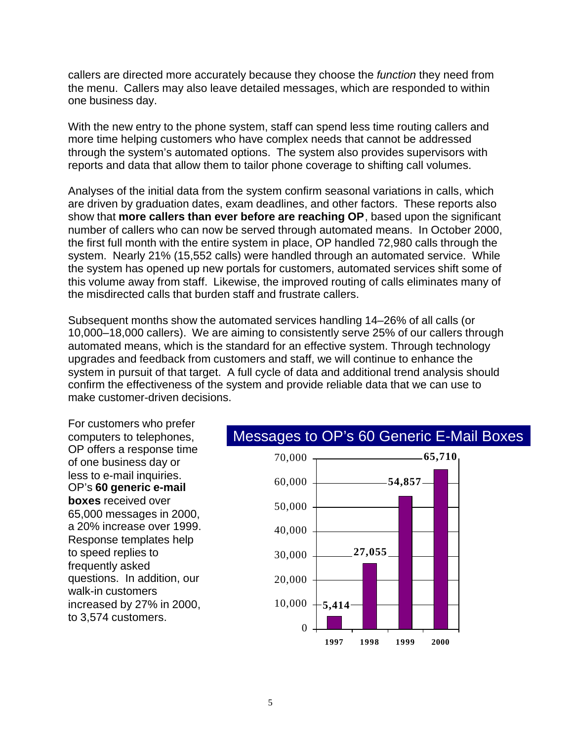callers are directed more accurately because they choose the *function* they need from the menu. Callers may also leave detailed messages, which are responded to within one business day.

With the new entry to the phone system, staff can spend less time routing callers and more time helping customers who have complex needs that cannot be addressed through the system's automated options. The system also provides supervisors with reports and data that allow them to tailor phone coverage to shifting call volumes.

Analyses of the initial data from the system confirm seasonal variations in calls, which are driven by graduation dates, exam deadlines, and other factors. These reports also show that **more callers than ever before are reaching OP**, based upon the significant number of callers who can now be served through automated means. In October 2000, the first full month with the entire system in place, OP handled 72,980 calls through the system. Nearly 21% (15,552 calls) were handled through an automated service. While the system has opened up new portals for customers, automated services shift some of this volume away from staff. Likewise, the improved routing of calls eliminates many of the misdirected calls that burden staff and frustrate callers.

Subsequent months show the automated services handling 14–26% of all calls (or 10,000–18,000 callers). We are aiming to consistently serve 25% of our callers through automated means, which is the standard for an effective system. Through technology upgrades and feedback from customers and staff, we will continue to enhance the system in pursuit of that target. A full cycle of data and additional trend analysis should confirm the effectiveness of the system and provide reliable data that we can use to make customer-driven decisions.

For customers who prefer computers to telephones, OP offers a response time of one business day or  $70,000$ less to e-mail inquiries. 60,000 OP's **60 generic e-mail boxes** received over 50,000<br>65,000 messages in 2000, a 20% increase over 1999.  $40,000$ Response templates help to speed replies to 30,000 frequently asked questions. In addition, our  $20,000$ walk-in customers increased by  $27\%$  in  $2000$ ,  $10,000$ to 3,574 customers.

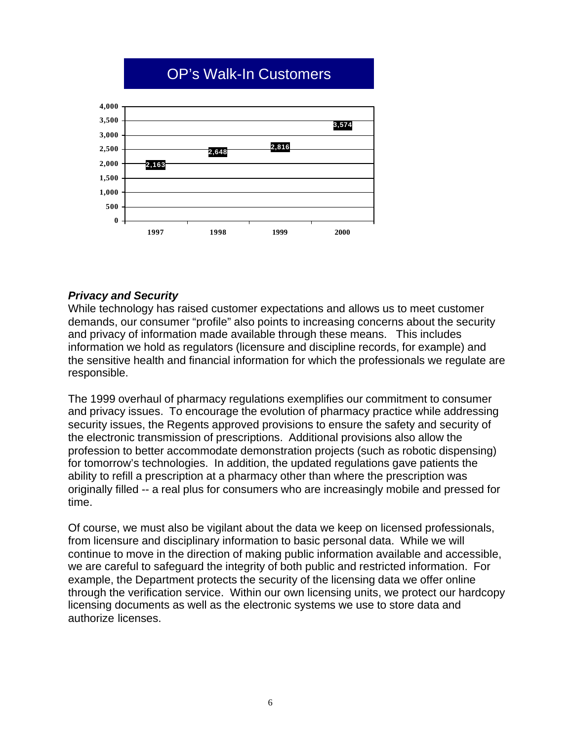# OP's Walk-In Customers



#### *Privacy and Security*

While technology has raised customer expectations and allows us to meet customer demands, our consumer "profile" also points to increasing concerns about the security and privacy of information made available through these means. This includes information we hold as regulators (licensure and discipline records, for example) and the sensitive health and financial information for which the professionals we regulate are responsible.

The 1999 overhaul of pharmacy regulations exemplifies our commitment to consumer and privacy issues. To encourage the evolution of pharmacy practice while addressing security issues, the Regents approved provisions to ensure the safety and security of the electronic transmission of prescriptions. Additional provisions also allow the profession to better accommodate demonstration projects (such as robotic dispensing) for tomorrow's technologies. In addition, the updated regulations gave patients the ability to refill a prescription at a pharmacy other than where the prescription was originally filled -- a real plus for consumers who are increasingly mobile and pressed for time.

Of course, we must also be vigilant about the data we keep on licensed professionals, from licensure and disciplinary information to basic personal data. While we will continue to move in the direction of making public information available and accessible, we are careful to safeguard the integrity of both public and restricted information. For example, the Department protects the security of the licensing data we offer online through the verification service. Within our own licensing units, we protect our hardcopy licensing documents as well as the electronic systems we use to store data and authorize licenses.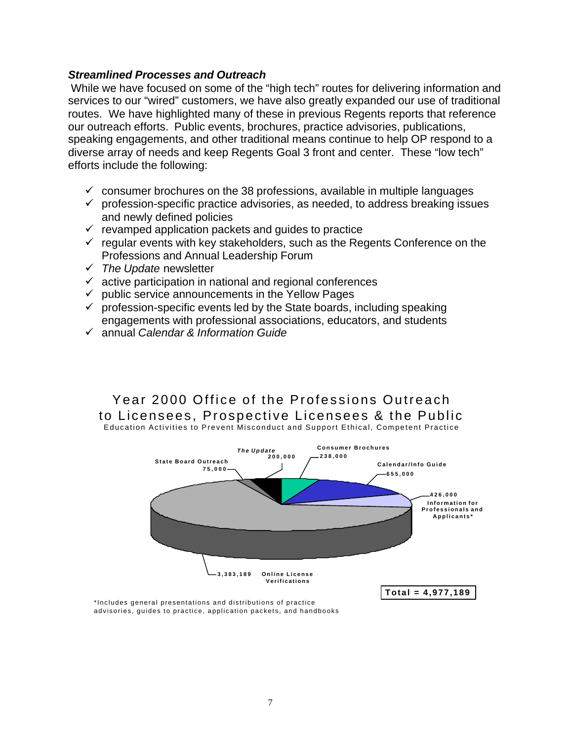#### *Streamlined Processes and Outreach*

 While we have focused on some of the "high tech" routes for delivering information and services to our "wired" customers, we have also greatly expanded our use of traditional routes. We have highlighted many of these in previous Regents reports that reference our outreach efforts. Public events, brochures, practice advisories, publications, speaking engagements, and other traditional means continue to help OP respond to a diverse array of needs and keep Regents Goal 3 front and center. These "low tech" efforts include the following:

- $\checkmark$  consumer brochures on the 38 professions, available in multiple languages
- $\checkmark$  profession-specific practice advisories, as needed, to address breaking issues and newly defined policies
- $\checkmark$  revamped application packets and guides to practice
- $\checkmark$  regular events with key stakeholders, such as the Regents Conference on the Professions and Annual Leadership Forum
- � *The Update* newsletter
- $\checkmark$  active participation in national and regional conferences
- $\checkmark$  public service announcements in the Yellow Pages
- $\checkmark$  profession-specific events led by the State boards, including speaking engagements with professional associations, educators, and students
- � annual *Calendar & Information Guide*

### Year 2000 Office of the Professions Outreach to Licensees, Prospective Licensees & the Public

Education Activities to Prevent Misconduct and Support Ethical, Competent Practice



\*Includes general presentations and distributions of practice advisories, guides to practice, application packets, and handbooks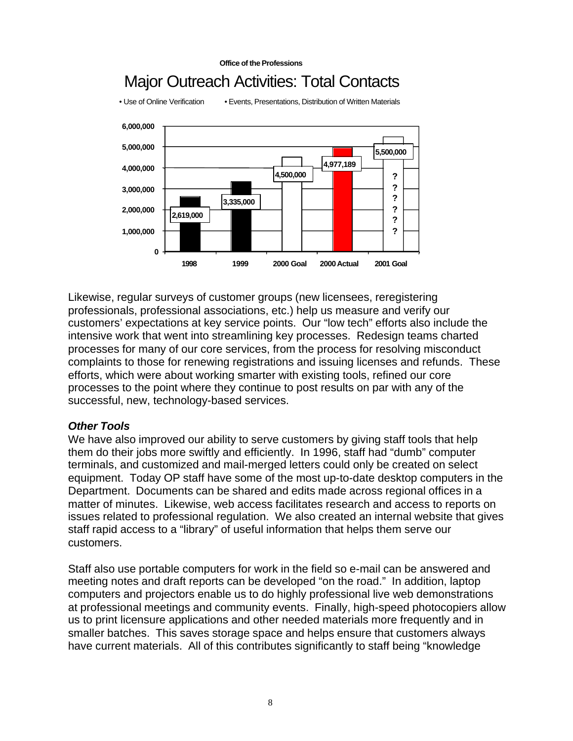

**Office of the Professions** 

Likewise, regular surveys of customer groups (new licensees, reregistering professionals, professional associations, etc.) help us measure and verify our customers' expectations at key service points. Our "low tech" efforts also include the intensive work that went into streamlining key processes. Redesign teams charted processes for many of our core services, from the process for resolving misconduct complaints to those for renewing registrations and issuing licenses and refunds. These efforts, which were about working smarter with existing tools, refined our core processes to the point where they continue to post results on par with any of the successful, new, technology-based services.

#### *Other Tools*

We have also improved our ability to serve customers by giving staff tools that help them do their jobs more swiftly and efficiently. In 1996, staff had "dumb" computer terminals, and customized and mail-merged letters could only be created on select equipment. Today OP staff have some of the most up-to-date desktop computers in the Department. Documents can be shared and edits made across regional offices in a matter of minutes. Likewise, web access facilitates research and access to reports on issues related to professional regulation. We also created an internal website that gives staff rapid access to a "library" of useful information that helps them serve our customers.

Staff also use portable computers for work in the field so e-mail can be answered and meeting notes and draft reports can be developed "on the road." In addition, laptop computers and projectors enable us to do highly professional live web demonstrations at professional meetings and community events. Finally, high-speed photocopiers allow us to print licensure applications and other needed materials more frequently and in smaller batches. This saves storage space and helps ensure that customers always have current materials. All of this contributes significantly to staff being "knowledge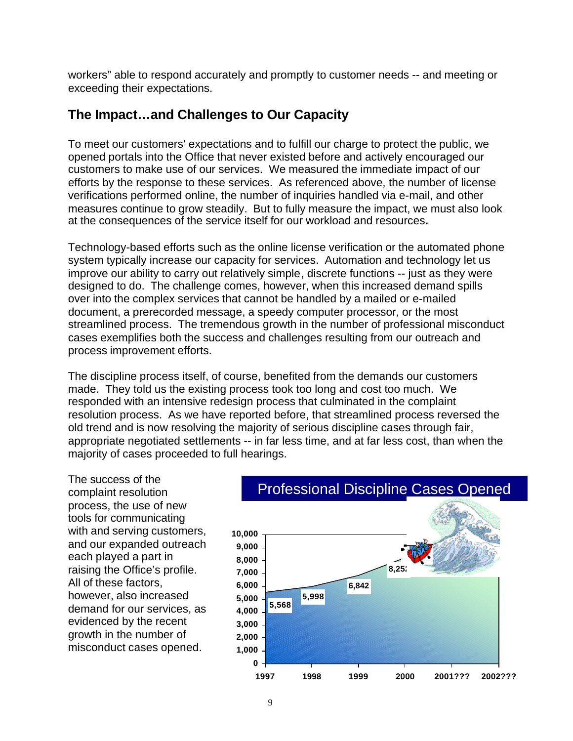workers" able to respond accurately and promptly to customer needs -- and meeting or exceeding their expectations.

### **The Impact…and Challenges to Our Capacity**

To meet our customers' expectations and to fulfill our charge to protect the public, we opened portals into the Office that never existed before and actively encouraged our customers to make use of our services. We measured the immediate impact of our efforts by the response to these services. As referenced above, the number of license verifications performed online, the number of inquiries handled via e-mail, and other measures continue to grow steadily. But to fully measure the impact, we must also look at the consequences of the service itself for our workload and resources**.** 

Technology-based efforts such as the online license verification or the automated phone system typically increase our capacity for services. Automation and technology let us improve our ability to carry out relatively simple, discrete functions -- just as they were designed to do. The challenge comes, however, when this increased demand spills over into the complex services that cannot be handled by a mailed or e-mailed document, a prerecorded message, a speedy computer processor, or the most streamlined process. The tremendous growth in the number of professional misconduct cases exemplifies both the success and challenges resulting from our outreach and process improvement efforts.

The discipline process itself, of course, benefited from the demands our customers made. They told us the existing process took too long and cost too much. We responded with an intensive redesign process that culminated in the complaint resolution process. As we have reported before, that streamlined process reversed the old trend and is now resolving the majority of serious discipline cases through fair, appropriate negotiated settlements -- in far less time, and at far less cost, than when the majority of cases proceeded to full hearings.

The success of the complaint resolution process, the use of new tools for communicating with and serving customers, 10,000 and our expanded outreach **9,000**  each played a part in **8,000**  raising the Office's profile. **7,000**  All of these factors, **6,000**  however, also increased **5,000**  demand for our services, as **4,000**  evidenced by the recent **3,000**  growth in the number of **2,000**  misconduct cases opened. **1,000** 

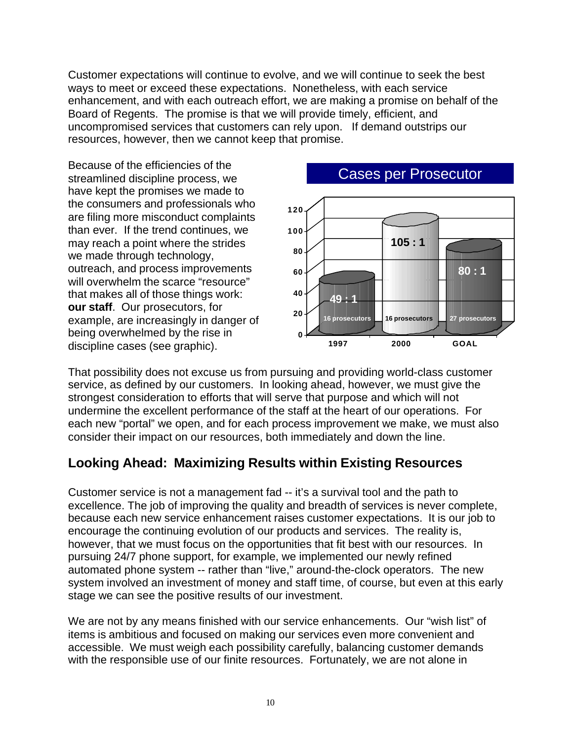Customer expectations will continue to evolve, and we will continue to seek the best ways to meet or exceed these expectations. Nonetheless, with each service enhancement, and with each outreach effort, we are making a promise on behalf of the Board of Regents. The promise is that we will provide timely, efficient, and uncompromised services that customers can rely upon. If demand outstrips our resources, however, then we cannot keep that promise.

Because of the efficiencies of the have kept the promises we made to the consumers and professionals who are filing more misconduct complaints than ever. If the trend continues, we **100**  may reach a point where the strides we made through technology, **80** outreach, and process improvements **<sup>60</sup>** will overwhelm the scarce "resource" that makes all of those things work: **40 our staff**. Our prosecutors, for example, are increasingly in danger of **<sup>20</sup>** being overwhelmed by the rise in **0** 



That possibility does not excuse us from pursuing and providing world-class customer service, as defined by our customers. In looking ahead, however, we must give the strongest consideration to efforts that will serve that purpose and which will not undermine the excellent performance of the staff at the heart of our operations. For each new "portal" we open, and for each process improvement we make, we must also consider their impact on our resources, both immediately and down the line.

# **Looking Ahead: Maximizing Results within Existing Resources**

Customer service is not a management fad -- it's a survival tool and the path to excellence. The job of improving the quality and breadth of services is never complete, because each new service enhancement raises customer expectations. It is our job to encourage the continuing evolution of our products and services. The reality is, however, that we must focus on the opportunities that fit best with our resources. In pursuing 24/7 phone support, for example, we implemented our newly refined automated phone system -- rather than "live," around-the-clock operators. The new system involved an investment of money and staff time, of course, but even at this early stage we can see the positive results of our investment.

We are not by any means finished with our service enhancements. Our "wish list" of items is ambitious and focused on making our services even more convenient and accessible. We must weigh each possibility carefully, balancing customer demands with the responsible use of our finite resources. Fortunately, we are not alone in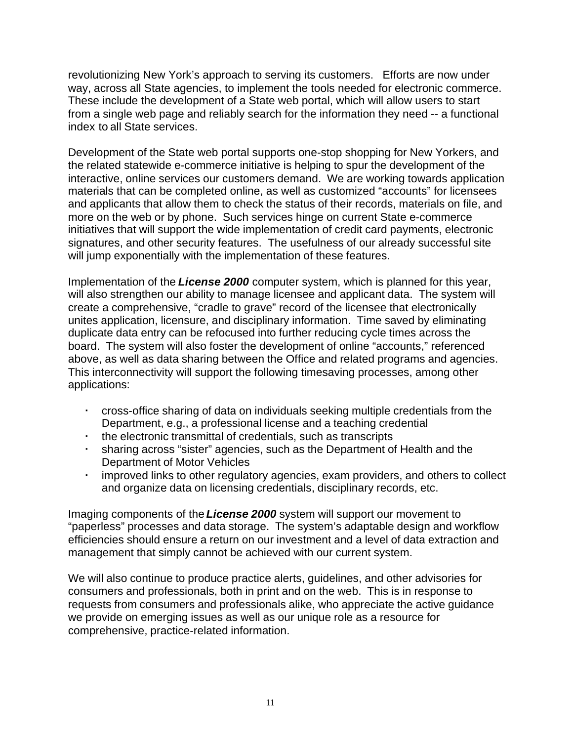revolutionizing New York's approach to serving its customers. Efforts are now under way, across all State agencies, to implement the tools needed for electronic commerce. These include the development of a State web portal, which will allow users to start from a single web page and reliably search for the information they need -- a functional index to all State services.

Development of the State web portal supports one-stop shopping for New Yorkers, and the related statewide e-commerce initiative is helping to spur the development of the interactive, online services our customers demand. We are working towards application materials that can be completed online, as well as customized "accounts" for licensees and applicants that allow them to check the status of their records, materials on file, and more on the web or by phone. Such services hinge on current State e-commerce initiatives that will support the wide implementation of credit card payments, electronic signatures, and other security features. The usefulness of our already successful site will jump exponentially with the implementation of these features.

Implementation of the *License 2000* computer system, which is planned for this year, will also strengthen our ability to manage licensee and applicant data. The system will create a comprehensive, "cradle to grave" record of the licensee that electronically unites application, licensure, and disciplinary information. Time saved by eliminating duplicate data entry can be refocused into further reducing cycle times across the board. The system will also foster the development of online "accounts," referenced above, as well as data sharing between the Office and related programs and agencies. This interconnectivity will support the following timesaving processes, among other applications:

- � cross-office sharing of data on individuals seeking multiple credentials from the Department, e.g., a professional license and a teaching credential
- $\cdot$  the electronic transmittal of credentials, such as transcripts
- sharing across "sister" agencies, such as the Department of Health and the Department of Motor Vehicles
- � improved links to other regulatory agencies, exam providers, and others to collect and organize data on licensing credentials, disciplinary records, etc.

Imaging components of the *License 2000* system will support our movement to "paperless" processes and data storage. The system's adaptable design and workflow efficiencies should ensure a return on our investment and a level of data extraction and management that simply cannot be achieved with our current system.

We will also continue to produce practice alerts, guidelines, and other advisories for consumers and professionals, both in print and on the web. This is in response to requests from consumers and professionals alike, who appreciate the active guidance we provide on emerging issues as well as our unique role as a resource for comprehensive, practice-related information.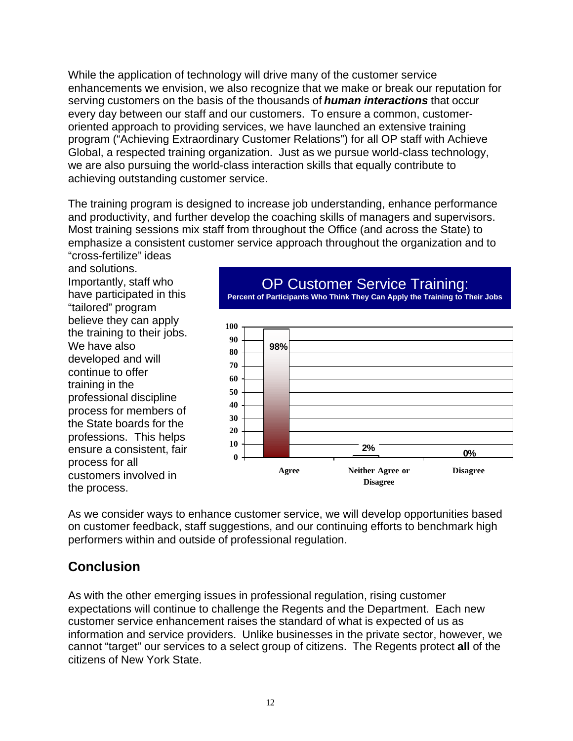While the application of technology will drive many of the customer service enhancements we envision, we also recognize that we make or break our reputation for serving customers on the basis of the thousands of *human interactions* that occur every day between our staff and our customers. To ensure a common, customeroriented approach to providing services, we have launched an extensive training program ("Achieving Extraordinary Customer Relations") for all OP staff with Achieve Global, a respected training organization. Just as we pursue world-class technology, we are also pursuing the world-class interaction skills that equally contribute to achieving outstanding customer service.

The training program is designed to increase job understanding, enhance performance and productivity, and further develop the coaching skills of managers and supervisors. Most training sessions mix staff from throughout the Office (and across the State) to emphasize a consistent customer service approach throughout the organization and to

"cross-fertilize" ideas and solutions. Importantly, staff who have participated in this "tailored" program believe they can apply<br>the training to their jobs.<br>We have also **90**<br>80 developed and will  $\frac{80}{70}$ **70** continue to offer **70** continue to offer training in the  $\frac{60}{50}$ professional discipline  $\frac{50}{40}$ process for members of  $\frac{10}{30}$ the State boards for the  $\frac{30}{20}$ professions. This helps **20**<br>**20**<br>**10** ensure a consistent, fair **10**<br>**0** process for all **<sup>0</sup>**

### OP Customer Service Training:



**Percent of Participants Who Think They Can Apply the Training to Their Jobs** 

As we consider ways to enhance customer service, we will develop opportunities based on customer feedback, staff suggestions, and our continuing efforts to benchmark high performers within and outside of professional regulation.

# **Conclusion**

As with the other emerging issues in professional regulation, rising customer expectations will continue to challenge the Regents and the Department. Each new customer service enhancement raises the standard of what is expected of us as information and service providers. Unlike businesses in the private sector, however, we cannot "target" our services to a select group of citizens. The Regents protect **all** of the citizens of New York State.